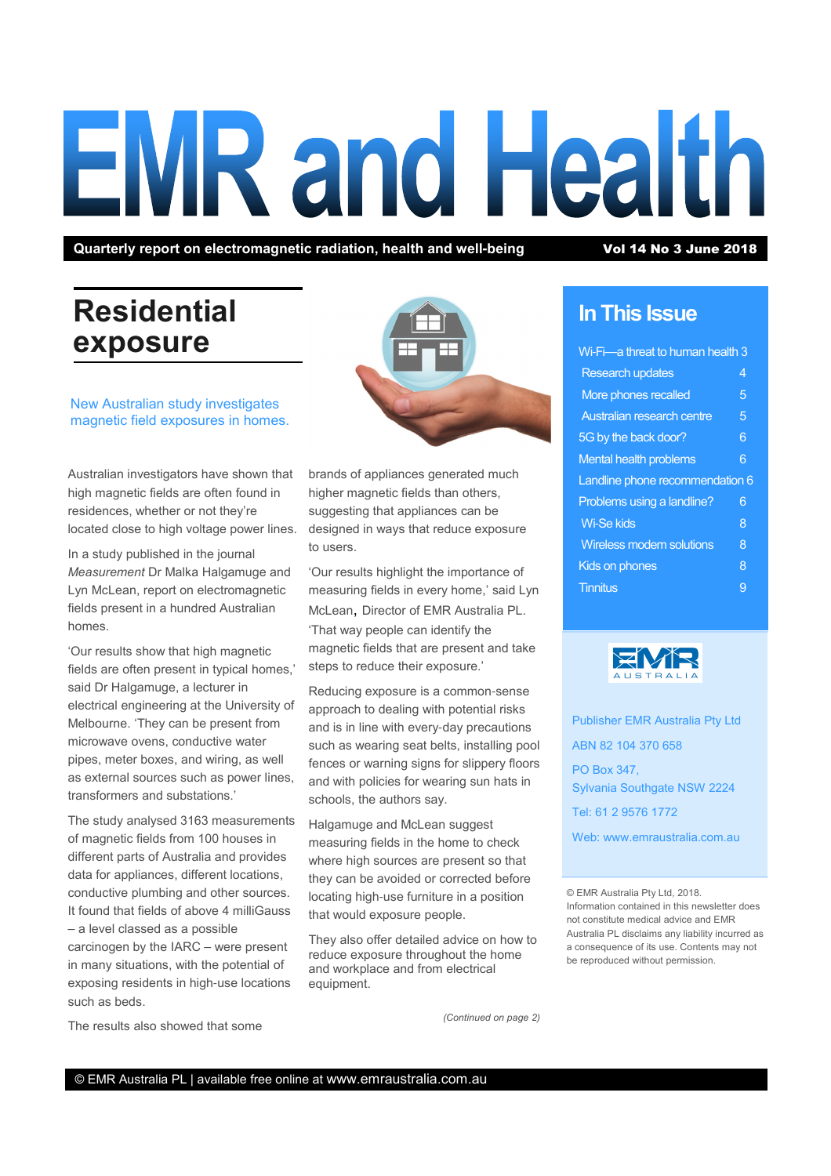# **EMR and Health**

Quarterly report on electromagnetic radiation, health and well-being Vol 14 No 3 June 2018

# Residential exposure



New Australian study investigates magnetic field exposures in homes.

Australian investigators have shown that high magnetic fields are often found in residences, whether or not they're located close to high voltage power lines.

In a study published in the journal Measurement Dr Malka Halgamuge and Lyn McLean, report on electromagnetic fields present in a hundred Australian homes.

'Our results show that high magnetic fields are often present in typical homes,' said Dr Halgamuge, a lecturer in electrical engineering at the University of Melbourne. 'They can be present from microwave ovens, conductive water pipes, meter boxes, and wiring, as well as external sources such as power lines, transformers and substations.'

The study analysed 3163 measurements of magnetic fields from 100 houses in different parts of Australia and provides data for appliances, different locations, conductive plumbing and other sources. It found that fields of above 4 milliGauss – a level classed as a possible carcinogen by the IARC – were present in many situations, with the potential of exposing residents in high-use locations such as beds.

brands of appliances generated much higher magnetic fields than others, suggesting that appliances can be designed in ways that reduce exposure to users.

'Our results highlight the importance of measuring fields in every home,' said Lyn McLean, Director of EMR Australia PL. 'That way people can identify the magnetic fields that are present and take steps to reduce their exposure.'

Reducing exposure is a common-sense approach to dealing with potential risks and is in line with every-day precautions such as wearing seat belts, installing pool fences or warning signs for slippery floors and with policies for wearing sun hats in schools, the authors say.

Halgamuge and McLean suggest measuring fields in the home to check where high sources are present so that they can be avoided or corrected before locating high-use furniture in a position that would exposure people.

They also offer detailed advice on how to reduce exposure throughout the home and workplace and from electrical equipment.

In This Issue

# Wi-Fi—a threat to human health 3 Research updates 4 More phones recalled 5 Australian research centre 5 5G by the back door? 6 Mental health problems 6 Landline phone recommendation 6 Problems using a landline? 6 Wi-Se kids 8 and 8 and 8 and 8 and 8 and 8 and 8 and 8 and 8 and 8 and 8 and 8 and 8 and 8 and 8 and 8 and 8 and 8 and 8 and 8 and 8 and 8 and 8 and 8 and 8 and 8 and 8 and 8 and 8 and 8 and 8 and 8 and 8 and 8 and 8 and 8 Wireless modem solutions 8 Kids on phones 8 **Tinnitus** 9



Publisher EMR Australia Pty Ltd ABN 82 104 370 658 PO Box 347, Sylvania Southgate NSW 2224 Tel: 61 2 9576 1772 Web: www.emraustralia.com.au

© EMR Australia Pty Ltd, 2018. Information contained in this newsletter does not constitute medical advice and EMR Australia PL disclaims any liability incurred as a consequence of its use. Contents may not be reproduced without permission.

The results also showed that some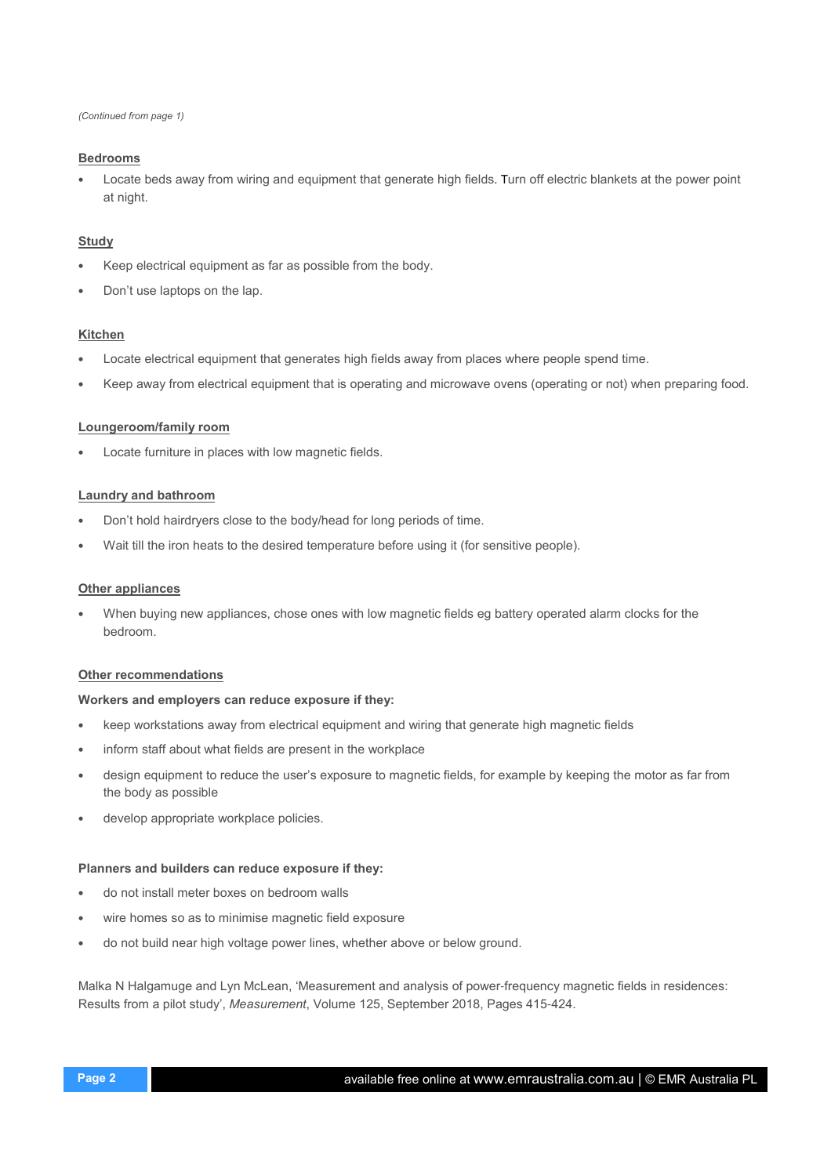(Continued from page 1)

### Bedrooms

• Locate beds away from wiring and equipment that generate high fields. Turn off electric blankets at the power point at night.

## **Study**

- Keep electrical equipment as far as possible from the body.
- Don't use laptops on the lap.

### Kitchen

- Locate electrical equipment that generates high fields away from places where people spend time.
- Keep away from electrical equipment that is operating and microwave ovens (operating or not) when preparing food.

### Loungeroom/family room

Locate furniture in places with low magnetic fields.

### Laundry and bathroom

- Don't hold hairdryers close to the body/head for long periods of time.
- Wait till the iron heats to the desired temperature before using it (for sensitive people).

### **Other appliances**

• When buying new appliances, chose ones with low magnetic fields eg battery operated alarm clocks for the bedroom.

### Other recommendations

### Workers and employers can reduce exposure if they:

- keep workstations away from electrical equipment and wiring that generate high magnetic fields
- inform staff about what fields are present in the workplace
- design equipment to reduce the user's exposure to magnetic fields, for example by keeping the motor as far from the body as possible
- develop appropriate workplace policies.

### Planners and builders can reduce exposure if they:

- do not install meter boxes on bedroom walls
- wire homes so as to minimise magnetic field exposure
- do not build near high voltage power lines, whether above or below ground.

Malka N Halgamuge and Lyn McLean, 'Measurement and analysis of power-frequency magnetic fields in residences: Results from a pilot study', Measurement, Volume 125, September 2018, Pages 415-424.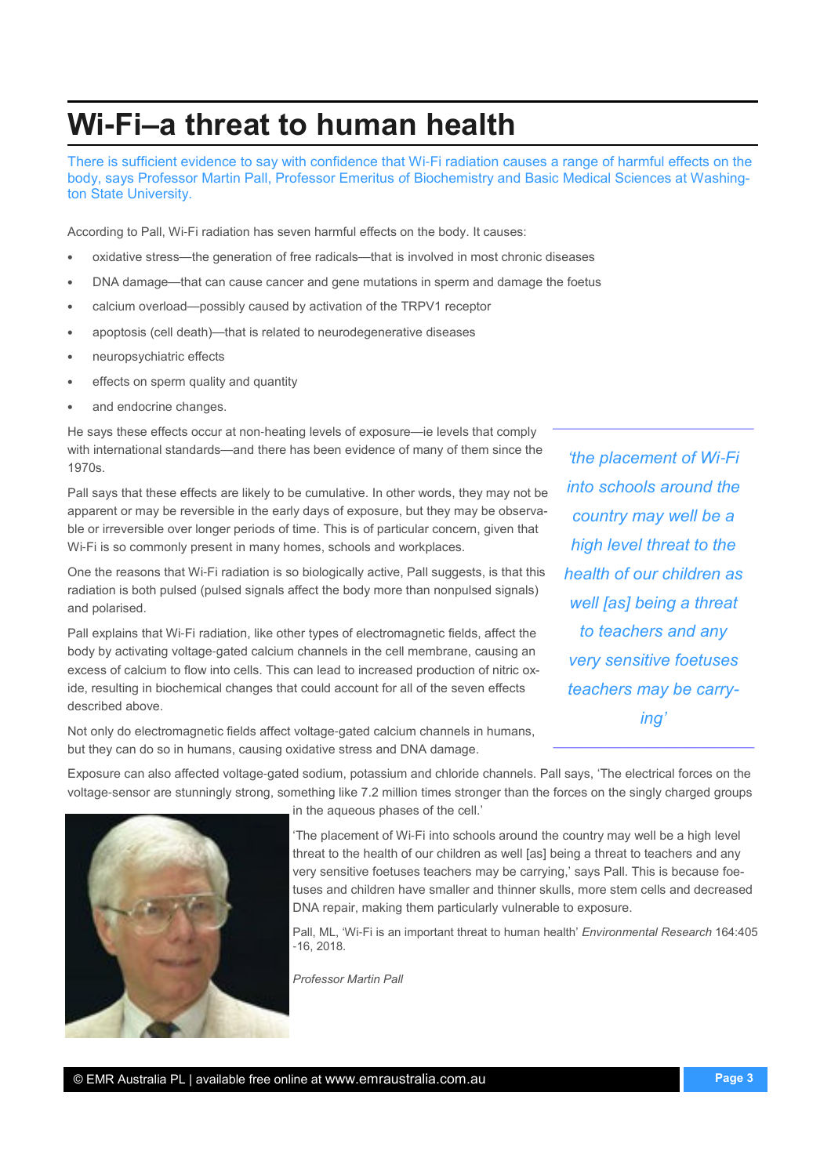# Wi**-**Fi**–**a threat to human health

There is sufficient evidence to say with confidence that Wi-Fi radiation causes a range of harmful effects on the body, says Professor Martin Pall, Professor Emeritus of Biochemistry and Basic Medical Sciences at Washington State University.

According to Pall, Wi-Fi radiation has seven harmful effects on the body. It causes:

- oxidative stress—the generation of free radicals—that is involved in most chronic diseases
- DNA damage—that can cause cancer and gene mutations in sperm and damage the foetus
- calcium overload—possibly caused by activation of the TRPV1 receptor
- apoptosis (cell death)—that is related to neurodegenerative diseases
- neuropsychiatric effects
- effects on sperm quality and quantity
- and endocrine changes.

He says these effects occur at non-heating levels of exposure—ie levels that comply with international standards—and there has been evidence of many of them since the 1970s.

Pall says that these effects are likely to be cumulative. In other words, they may not be apparent or may be reversible in the early days of exposure, but they may be observable or irreversible over longer periods of time. This is of particular concern, given that Wi-Fi is so commonly present in many homes, schools and workplaces.

One the reasons that Wi-Fi radiation is so biologically active, Pall suggests, is that this radiation is both pulsed (pulsed signals affect the body more than nonpulsed signals) and polarised.

Pall explains that Wi-Fi radiation, like other types of electromagnetic fields, affect the body by activating voltage-gated calcium channels in the cell membrane, causing an excess of calcium to flow into cells. This can lead to increased production of nitric oxide, resulting in biochemical changes that could account for all of the seven effects described above.

Not only do electromagnetic fields affect voltage-gated calcium channels in humans, but they can do so in humans, causing oxidative stress and DNA damage.

'the placement of Wi-Fi into schools around the country may well be a high level threat to the health of our children as well [as] being a threat to teachers and any very sensitive foetuses teachers may be carrying'

Exposure can also affected voltage-gated sodium, potassium and chloride channels. Pall says, 'The electrical forces on the voltage-sensor are stunningly strong, something like 7.2 million times stronger than the forces on the singly charged groups



in the aqueous phases of the cell.'

'The placement of Wi-Fi into schools around the country may well be a high level threat to the health of our children as well [as] being a threat to teachers and any very sensitive foetuses teachers may be carrying,' says Pall. This is because foetuses and children have smaller and thinner skulls, more stem cells and decreased DNA repair, making them particularly vulnerable to exposure.

Pall, ML, 'Wi-Fi is an important threat to human health' Environmental Research 164:405  $-16, 2018$ 

Professor Martin Pall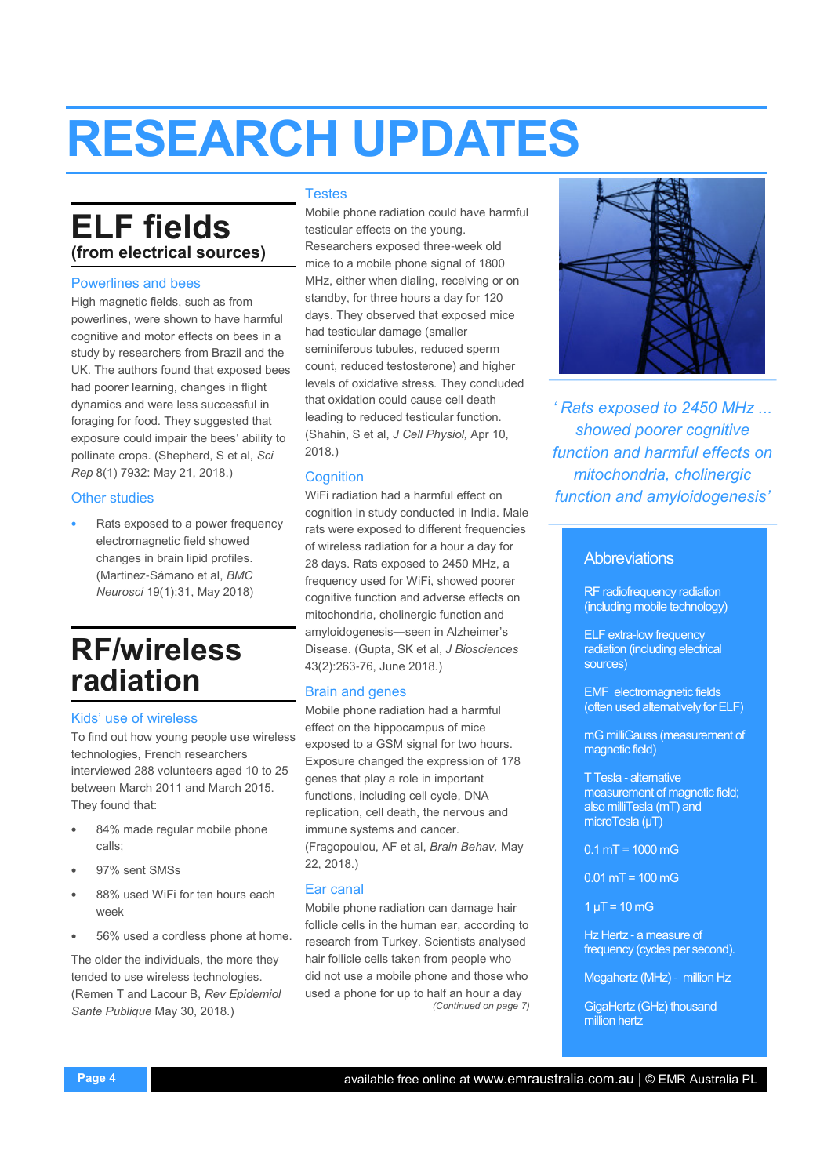# RESEARCH UPDATES

# ELF fields (from electrical sources)

### Powerlines and bees

High magnetic fields, such as from powerlines, were shown to have harmful cognitive and motor effects on bees in a study by researchers from Brazil and the UK. The authors found that exposed bees had poorer learning, changes in flight dynamics and were less successful in foraging for food. They suggested that exposure could impair the bees' ability to pollinate crops. (Shepherd, S et al, Sci Rep 8(1) 7932: May 21, 2018.)

### Other studies

Rats exposed to a power frequency electromagnetic field showed changes in brain lipid profiles. (Martinez-Sámano et al, BMC Neurosci 19(1):31, May 2018)

# RF/wireless radiation

### Kids' use of wireless

To find out how young people use wireless technologies, French researchers interviewed 288 volunteers aged 10 to 25 between March 2011 and March 2015. They found that:

- 84% made regular mobile phone calls;
- 97% sent SMSs
- 88% used WiFi for ten hours each week
- 56% used a cordless phone at home.

The older the individuals, the more they tended to use wireless technologies. (Remen T and Lacour B, Rev Epidemiol Sante Publique May 30, 2018.)

### Testes

Mobile phone radiation could have harmful testicular effects on the young. Researchers exposed three-week old mice to a mobile phone signal of 1800 MHz, either when dialing, receiving or on standby, for three hours a day for 120 days. They observed that exposed mice had testicular damage (smaller seminiferous tubules, reduced sperm count, reduced testosterone) and higher levels of oxidative stress. They concluded that oxidation could cause cell death leading to reduced testicular function. (Shahin, S et al, J Cell Physiol, Apr 10, 2018.)

### **Cognition**

WiFi radiation had a harmful effect on cognition in study conducted in India. Male rats were exposed to different frequencies of wireless radiation for a hour a day for 28 days. Rats exposed to 2450 MHz, a frequency used for WiFi, showed poorer cognitive function and adverse effects on mitochondria, cholinergic function and amyloidogenesis—seen in Alzheimer's Disease. (Gupta, SK et al, J Biosciences 43(2):263-76, June 2018.)

### Brain and genes

Mobile phone radiation had a harmful effect on the hippocampus of mice exposed to a GSM signal for two hours. Exposure changed the expression of 178 genes that play a role in important functions, including cell cycle, DNA replication, cell death, the nervous and immune systems and cancer. (Fragopoulou, AF et al, Brain Behav, May 22, 2018.)

### Ear canal

Mobile phone radiation can damage hair follicle cells in the human ear, according to research from Turkey. Scientists analysed hair follicle cells taken from people who did not use a mobile phone and those who used a phone for up to half an hour a day (Continued on page 7)



' Rats exposed to 2450 MHz ... showed poorer cognitive function and harmful effects on mitochondria, cholinergic function and amyloidogenesis'

# **Abbreviations**

RF radiofrequency radiation (including mobile technology)

ELF extra-low frequency radiation (including electrical sources)

EMF electromagnetic fields (often used alternatively for ELF)

mG milliGauss (measurement of magnetic field)

T Tesla - alternative measurement of magnetic field; also milliTesla (mT) and microTesla (µT)

 $0.1$  mT = 1000 mG

 $0.01$  mT = 100 mG

 $1 \mu T = 10 \, \text{mG}$ 

Hz Hertz - a measure of frequency (cycles per second).

Megahertz (MHz) - million Hz

GigaHertz (GHz) thousand million hertz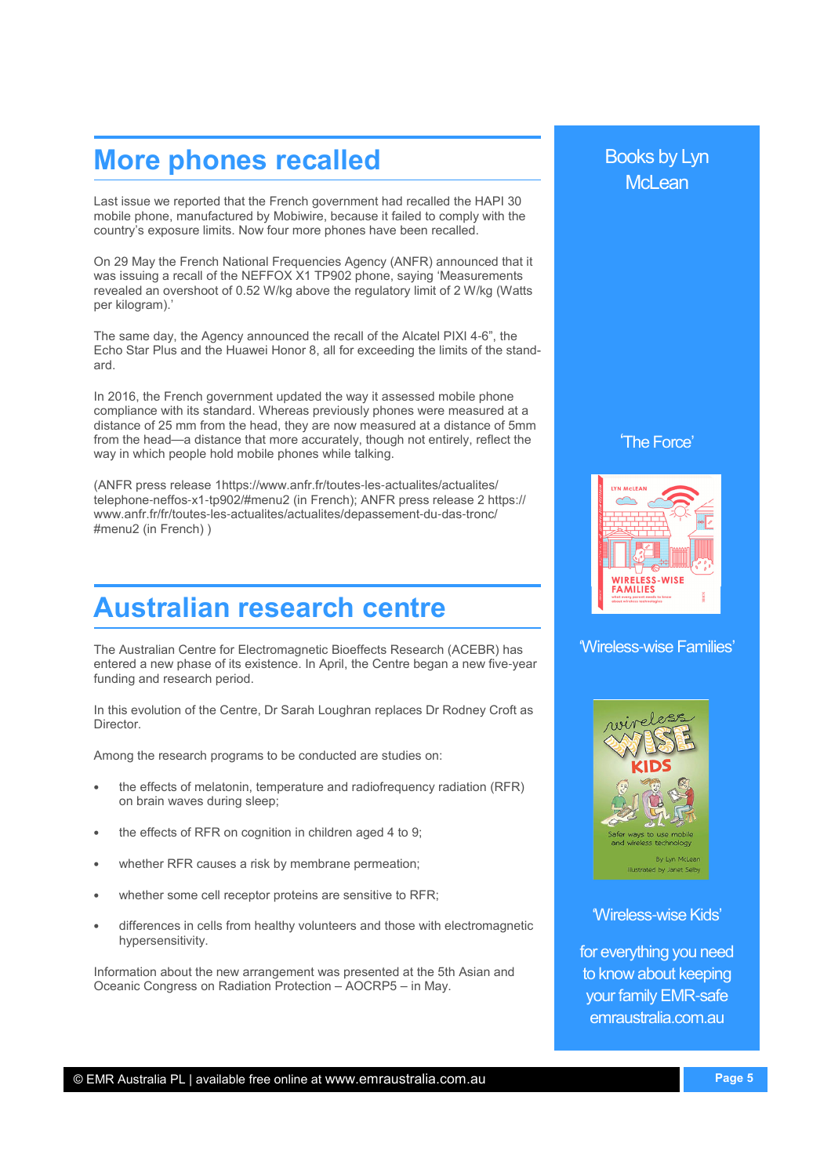# More phones recalled

Last issue we reported that the French government had recalled the HAPI 30 mobile phone, manufactured by Mobiwire, because it failed to comply with the country's exposure limits. Now four more phones have been recalled.

On 29 May the French National Frequencies Agency (ANFR) announced that it was issuing a recall of the NEFFOX X1 TP902 phone, saying 'Measurements revealed an overshoot of 0.52 W/kg above the regulatory limit of 2 W/kg (Watts per kilogram).'

The same day, the Agency announced the recall of the Alcatel PIXI 4-6", the Echo Star Plus and the Huawei Honor 8, all for exceeding the limits of the standard.

In 2016, the French government updated the way it assessed mobile phone compliance with its standard. Whereas previously phones were measured at a distance of 25 mm from the head, they are now measured at a distance of 5mm from the head—a distance that more accurately, though not entirely, reflect the way in which people hold mobile phones while talking.

(ANFR press release 1https://www.anfr.fr/toutes-les-actualites/actualites/ telephone-neffos-x1-tp902/#menu2 (in French); ANFR press release 2 https:// www.anfr.fr/fr/toutes-les-actualites/actualites/depassement-du-das-tronc/ #menu2 (in French) )

# Australian research centre

The Australian Centre for Electromagnetic Bioeffects Research (ACEBR) has entered a new phase of its existence. In April, the Centre began a new five-year funding and research period.

In this evolution of the Centre, Dr Sarah Loughran replaces Dr Rodney Croft as Director.

Among the research programs to be conducted are studies on:

- the effects of melatonin, temperature and radiofrequency radiation (RFR) on brain waves during sleep;
- the effects of RFR on cognition in children aged 4 to 9;
- whether RFR causes a risk by membrane permeation;
- whether some cell receptor proteins are sensitive to RFR;
- differences in cells from healthy volunteers and those with electromagnetic hypersensitivity.

Information about the new arrangement was presented at the 5th Asian and Oceanic Congress on Radiation Protection – AOCRP5 – in May.

# Books by Lyn McLean

'The Force'



'Wireless-wise Families'



'Wireless-wise Kids'

for everything you need to know about keeping your family EMR-safe emraustralia.com.au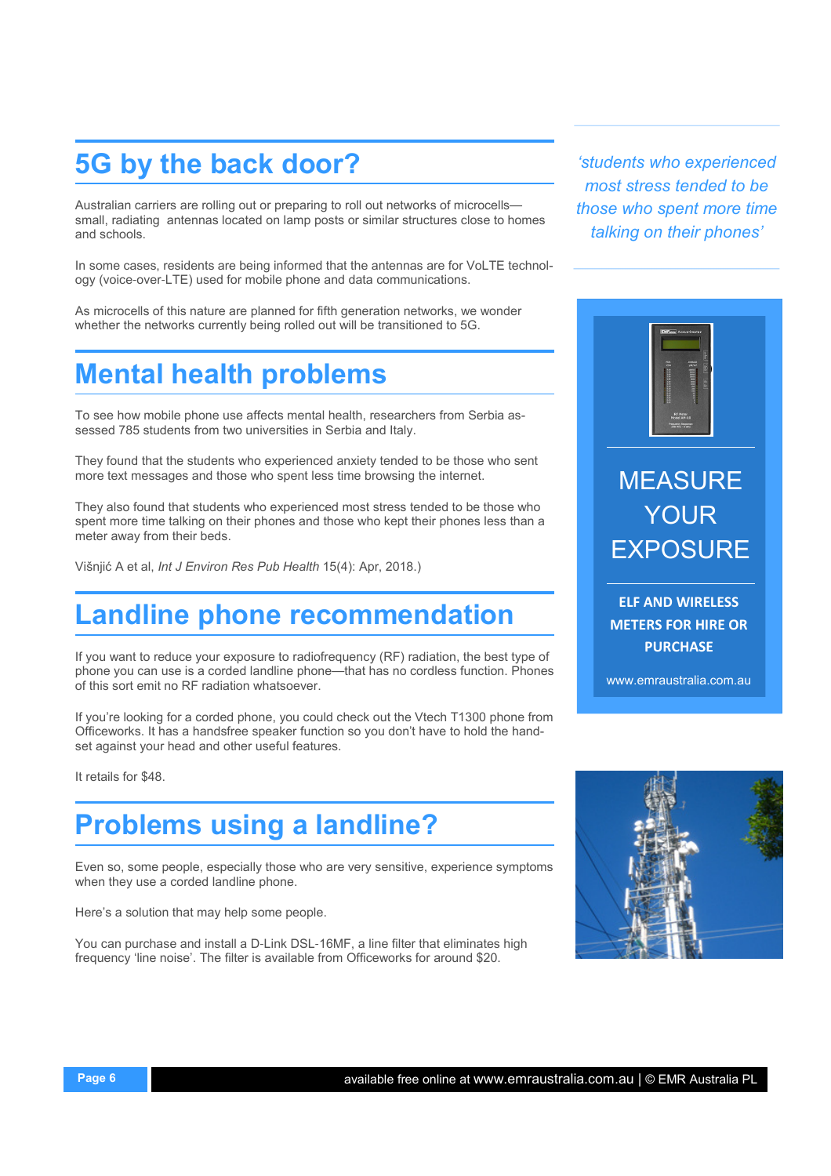# 5G by the back door?

Australian carriers are rolling out or preparing to roll out networks of microcells small, radiating antennas located on lamp posts or similar structures close to homes and schools.

In some cases, residents are being informed that the antennas are for VoLTE technology (voice-over-LTE) used for mobile phone and data communications.

As microcells of this nature are planned for fifth generation networks, we wonder whether the networks currently being rolled out will be transitioned to 5G.

# Mental health problems

To see how mobile phone use affects mental health, researchers from Serbia assessed 785 students from two universities in Serbia and Italy.

They found that the students who experienced anxiety tended to be those who sent more text messages and those who spent less time browsing the internet.

They also found that students who experienced most stress tended to be those who spent more time talking on their phones and those who kept their phones less than a meter away from their beds.

Višnjić A et al, Int J Environ Res Pub Health 15(4): Apr, 2018.)

# Landline phone recommendation

If you want to reduce your exposure to radiofrequency (RF) radiation, the best type of phone you can use is a corded landline phone—that has no cordless function. Phones of this sort emit no RF radiation whatsoever.

If you're looking for a corded phone, you could check out the Vtech T1300 phone from Officeworks. It has a handsfree speaker function so you don't have to hold the handset against your head and other useful features.

It retails for \$48.

# Problems using a landline?

Even so, some people, especially those who are very sensitive, experience symptoms when they use a corded landline phone.

Here's a solution that may help some people.

You can purchase and install a D-Link DSL-16MF, a line filter that eliminates high frequency 'line noise'. The filter is available from Officeworks for around \$20.

'students who experienced most stress tended to be those who spent more time talking on their phones'



# MEASURE YOUR **EXPOSURE**

ELF AND WIRELESS METERS FOR HIRE OR **PURCHASE** 

www.emraustralia.com.au

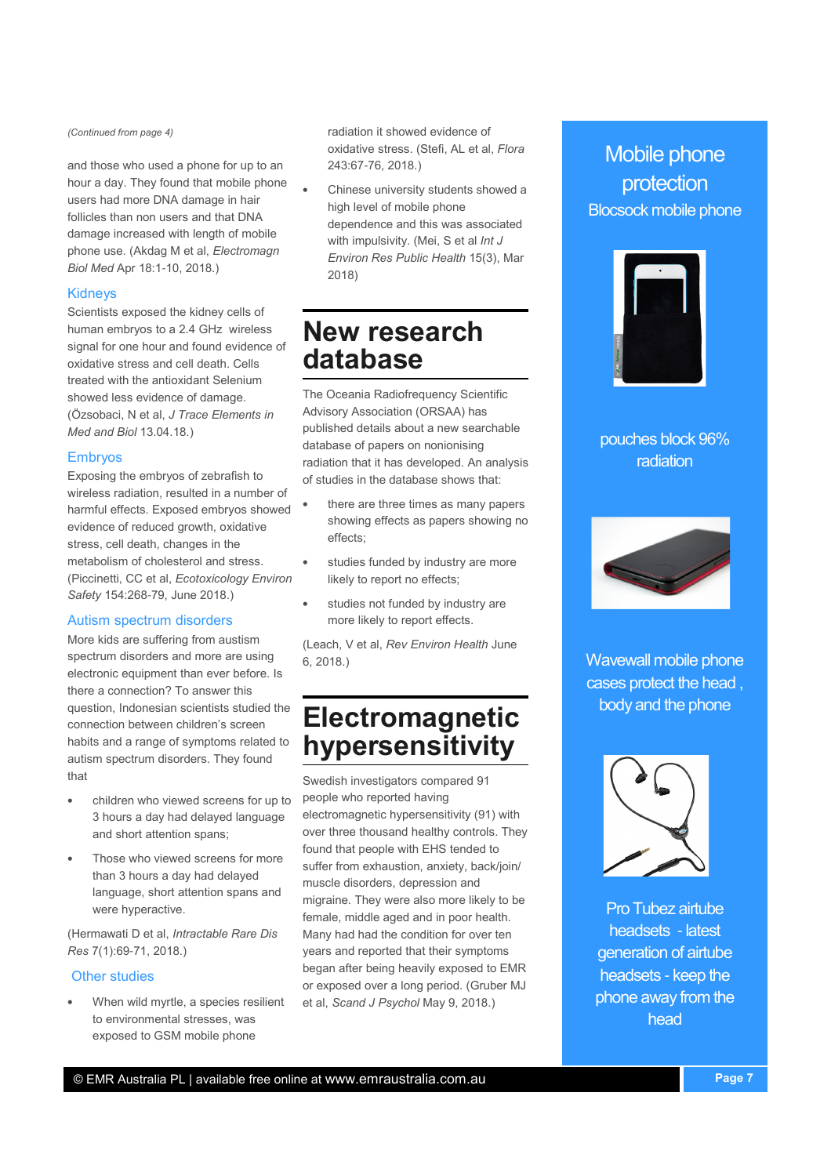(Continued from page 4)

and those who used a phone for up to an hour a day. They found that mobile phone users had more DNA damage in hair follicles than non users and that DNA damage increased with length of mobile phone use. (Akdag M et al, Electromagn Biol Med Apr 18:1-10, 2018.)

### Kidneys

Scientists exposed the kidney cells of human embryos to a 2.4 GHz wireless signal for one hour and found evidence of oxidative stress and cell death. Cells treated with the antioxidant Selenium showed less evidence of damage. (Özsobaci, N et al, J Trace Elements in Med and Biol 13.04.18.)

## Embryos

Exposing the embryos of zebrafish to wireless radiation, resulted in a number of harmful effects. Exposed embryos showed evidence of reduced growth, oxidative stress, cell death, changes in the metabolism of cholesterol and stress. (Piccinetti, CC et al, Ecotoxicology Environ Safety 154:268-79, June 2018.)

# Autism spectrum disorders

More kids are suffering from austism spectrum disorders and more are using electronic equipment than ever before. Is there a connection? To answer this question, Indonesian scientists studied the connection between children's screen habits and a range of symptoms related to autism spectrum disorders. They found that

- children who viewed screens for up to 3 hours a day had delayed language and short attention spans;
- Those who viewed screens for more than 3 hours a day had delayed language, short attention spans and were hyperactive.

(Hermawati D et al, Intractable Rare Dis Res 7(1):69-71, 2018.)

### Other studies

• When wild myrtle, a species resilient to environmental stresses, was exposed to GSM mobile phone

radiation it showed evidence of oxidative stress. (Stefi, AL et al, Flora 243:67-76, 2018.)

• Chinese university students showed a high level of mobile phone dependence and this was associated with impulsivity. (Mei, S et al Int J Environ Res Public Health 15(3), Mar 2018)

# New research database

The Oceania Radiofrequency Scientific Advisory Association (ORSAA) has published details about a new searchable database of papers on nonionising radiation that it has developed. An analysis of studies in the database shows that:

- there are three times as many papers showing effects as papers showing no effects;
- studies funded by industry are more likely to report no effects;
- studies not funded by industry are more likely to report effects.

(Leach, V et al, Rev Environ Health June 6, 2018.)

# Electromagnetic hypersensitivity

Swedish investigators compared 91 people who reported having electromagnetic hypersensitivity (91) with over three thousand healthy controls. They found that people with EHS tended to suffer from exhaustion, anxiety, back/join/ muscle disorders, depression and migraine. They were also more likely to be female, middle aged and in poor health. Many had had the condition for over ten years and reported that their symptoms began after being heavily exposed to EMR or exposed over a long period. (Gruber MJ et al, Scand J Psychol May 9, 2018.)

# Mobile phone protection Blocsock mobile phone



pouches block 96% radiation



Wavewall mobile phone cases protect the head , body and the phone



Pro Tubez airtube headsets - latest generation of airtube headsets - keep the phone away from the head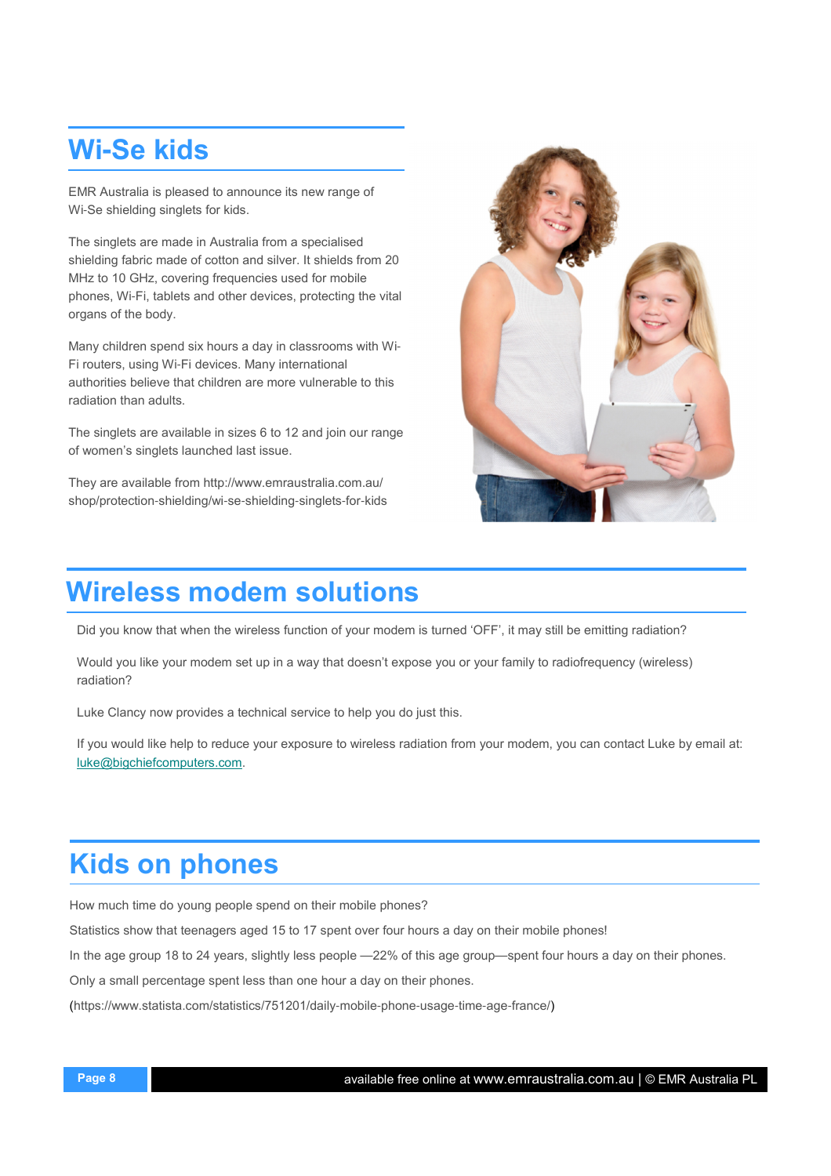# Wi**-**Se kids

EMR Australia is pleased to announce its new range of Wi-Se shielding singlets for kids.

The singlets are made in Australia from a specialised shielding fabric made of cotton and silver. It shields from 20 MHz to 10 GHz, covering frequencies used for mobile phones, Wi-Fi, tablets and other devices, protecting the vital organs of the body.

Many children spend six hours a day in classrooms with Wi-Fi routers, using Wi-Fi devices. Many international authorities believe that children are more vulnerable to this radiation than adults.

The singlets are available in sizes 6 to 12 and join our range of women's singlets launched last issue.

They are available from http://www.emraustralia.com.au/ shop/protection-shielding/wi-se-shielding-singlets-for-kids



# Wireless modem solutions

Did you know that when the wireless function of your modem is turned 'OFF', it may still be emitting radiation?

Would you like your modem set up in a way that doesn't expose you or your family to radiofrequency (wireless) radiation?

Luke Clancy now provides a technical service to help you do just this.

If you would like help to reduce your exposure to wireless radiation from your modem, you can contact Luke by email at: luke@bigchiefcomputers.com.

# Kids on phones

How much time do young people spend on their mobile phones?

Statistics show that teenagers aged 15 to 17 spent over four hours a day on their mobile phones!

In the age group 18 to 24 years, slightly less people —22% of this age group—spent four hours a day on their phones.

Only a small percentage spent less than one hour a day on their phones.

(https://www.statista.com/statistics/751201/daily-mobile-phone-usage-time-age-france/)